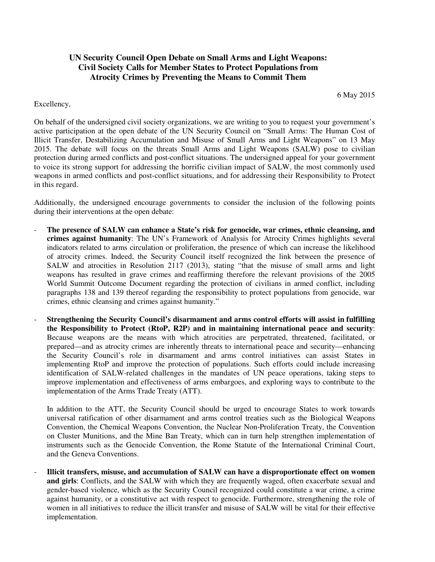## **UN Security Council Open Debate on Small Arms and Light Weapons: Civil Society Calls for Member States to Protect Populations from Atrocity Crimes by Preventing the Means to Commit Them**

6 May 2015

## Excellency,

On behalf of the undersigned civil society organizations, we are writing to you to request your government's active participation at the open debate of the UN Security Council on "Small Arms: The Human Cost of Illicit Transfer, Destabilizing Accumulation and Misuse of Small Arms and Light Weapons" on 13 May 2015. The debate will focus on the threats Small Arms and Light Weapons (SALW) pose to civilian protection during armed conflicts and post-conflict situations. The undersigned appeal for your government to voice its strong support for addressing the horrific civilian impact of SALW, the most commonly used weapons in armed conflicts and post-conflict situations, and for addressing their Responsibility to Protect in this regard.

Additionally, the undersigned encourage governments to consider the inclusion of the following points during their interventions at the open debate:

- The presence of SALW can enhance a State's risk for genocide, war crimes, ethnic cleansing, and **crimes against humanity**: The UN's Framework of Analysis for Atrocity Crimes highlights several indicators related to arms circulation or proliferation, the presence of which can increase the likelihood of atrocity crimes. Indeed, the Security Council itself recognized the link between the presence of SALW and atrocities in Resolution 2117 (2013), stating "that the misuse of small arms and light weapons has resulted in grave crimes and reaffirming therefore the relevant provisions of the 2005 World Summit Outcome Document regarding the protection of civilians in armed conflict, including paragraphs 138 and 139 thereof regarding the responsibility to protect populations from genocide, war crimes, ethnic cleansing and crimes against humanity."
- **Strengthening the Security Council's disarmament and arms control efforts will assist in fulfilling the Responsibility to Protect (RtoP, R2P) and in maintaining international peace and security**: Because weapons are the means with which atrocities are perpetrated, threatened, facilitated, or prepared—and as atrocity crimes are inherently threats to international peace and security—enhancing the Security Council's role in disarmament and arms control initiatives can assist States in implementing RtoP and improve the protection of populations. Such efforts could include increasing identification of SALW-related challenges in the mandates of UN peace operations, taking steps to improve implementation and effectiveness of arms embargoes, and exploring ways to contribute to the implementation of the Arms Trade Treaty (ATT).

In addition to the ATT, the Security Council should be urged to encourage States to work towards universal ratification of other disarmament and arms control treaties such as the Biological Weapons Convention, the Chemical Weapons Convention, the Nuclear Non-Proliferation Treaty, the Convention on Cluster Munitions, and the Mine Ban Treaty, which can in turn help strengthen implementation of instruments such as the Genocide Convention, the Rome Statute of the International Criminal Court, and the Geneva Conventions.

- **Illicit transfers, misuse, and accumulation of SALW can have a disproportionate effect on women and girls**: Conflicts, and the SALW with which they are frequently waged, often exacerbate sexual and gender-based violence, which as the Security Council recognized could constitute a war crime, a crime against humanity, or a constitutive act with respect to genocide. Furthermore, strengthening the role of women in all initiatives to reduce the illicit transfer and misuse of SALW will be vital for their effective implementation.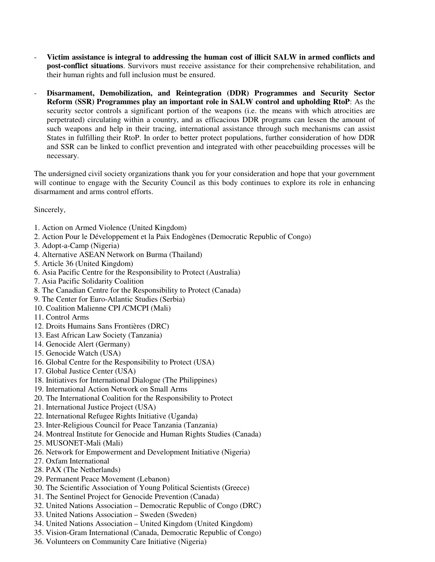- **Victim assistance is integral to addressing the human cost of illicit SALW in armed conflicts and post-conflict situations**. Survivors must receive assistance for their comprehensive rehabilitation, and their human rights and full inclusion must be ensured.
- **Disarmament, Demobilization, and Reintegration (DDR) Programmes and Security Sector Reform (SSR) Programmes play an important role in SALW control and upholding RtoP**: As the security sector controls a significant portion of the weapons (i.e. the means with which atrocities are perpetrated) circulating within a country, and as efficacious DDR programs can lessen the amount of such weapons and help in their tracing, international assistance through such mechanisms can assist States in fulfilling their RtoP. In order to better protect populations, further consideration of how DDR and SSR can be linked to conflict prevention and integrated with other peacebuilding processes will be necessary.

The undersigned civil society organizations thank you for your consideration and hope that your government will continue to engage with the Security Council as this body continues to explore its role in enhancing disarmament and arms control efforts.

Sincerely,

- 1. Action on Armed Violence (United Kingdom)
- 2. Action Pour le Développement et la Paix Endogènes (Democratic Republic of Congo)
- 3. Adopt-a-Camp (Nigeria)
- 4. Alternative ASEAN Network on Burma (Thailand)
- 5. Article 36 (United Kingdom)
- 6. Asia Pacific Centre for the Responsibility to Protect (Australia)
- 7. Asia Pacific Solidarity Coalition
- 8. The Canadian Centre for the Responsibility to Protect (Canada)
- 9. The Center for Euro-Atlantic Studies (Serbia)
- 10. Coalition Malienne CPI /CMCPI (Mali)
- 11. Control Arms
- 12. Droits Humains Sans Frontières (DRC)
- 13. East African Law Society (Tanzania)
- 14. Genocide Alert (Germany)
- 15. Genocide Watch (USA)
- 16. Global Centre for the Responsibility to Protect (USA)
- 17. Global Justice Center (USA)
- 18. Initiatives for International Dialogue (The Philippines)
- 19. International Action Network on Small Arms
- 20. The International Coalition for the Responsibility to Protect
- 21. International Justice Project (USA)
- 22. International Refugee Rights Initiative (Uganda)
- 23. Inter-Religious Council for Peace Tanzania (Tanzania)
- 24. Montreal Institute for Genocide and Human Rights Studies (Canada)
- 25. MUSONET-Mali (Mali)
- 26. Network for Empowerment and Development Initiative (Nigeria)
- 27. Oxfam International
- 28. PAX (The Netherlands)
- 29. Permanent Peace Movement (Lebanon)
- 30. The Scientific Association of Young Political Scientists (Greece)
- 31. The Sentinel Project for Genocide Prevention (Canada)
- 32. United Nations Association Democratic Republic of Congo (DRC)
- 33. United Nations Association Sweden (Sweden)
- 34. United Nations Association United Kingdom (United Kingdom)
- 35. Vision-Gram International (Canada, Democratic Republic of Congo)
- 36. Volunteers on Community Care Initiative (Nigeria)